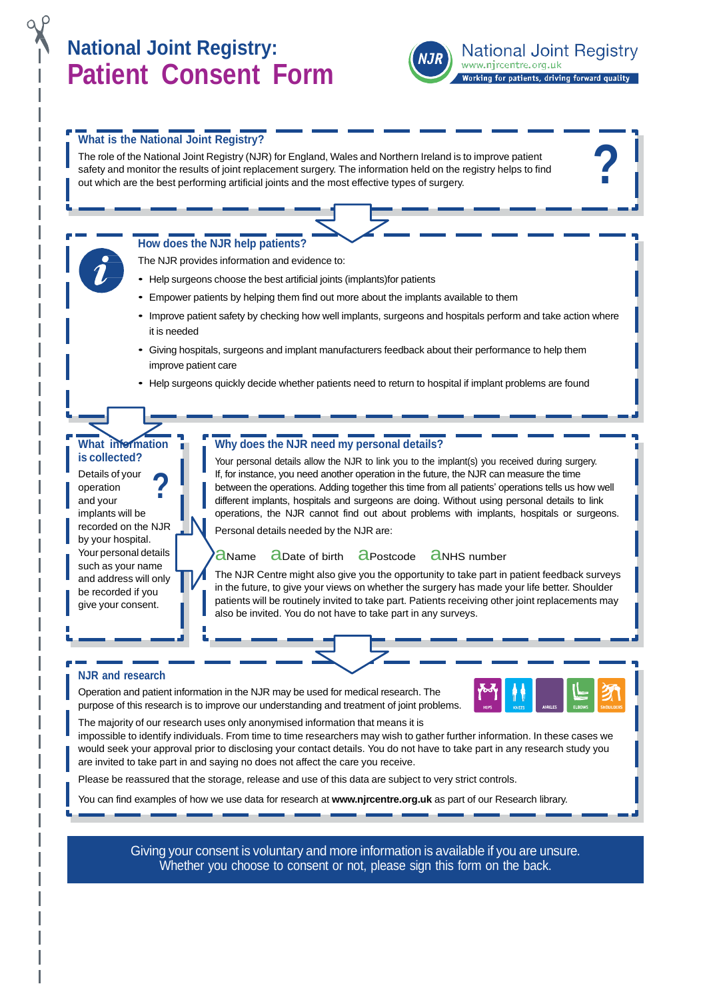# **National Joint Registry: Patient Consent Form**



**National Joint Registry** www.njrcentre.org.uk Working for patients, driving forward quality

**?**

### **What is the National Joint Registry?**

The role of the National Joint Registry (NJR) for England, Wales and Northern Ireland is to improve patient safety and monitor the results of joint replacement surgery. The information held on the registry helps to find out which are the best performing artificial joints and the most effective types of surgery.

# **How does the NJR help patients?**

The NJR provides information and evidence to:

- Help surgeons choose the best artificial joints (implants)for patients
- Empower patients by helping them find out more about the implants available to them
- Improve patient safety by checking how well implants, surgeons and hospitals perform and take action where it is needed
- Giving hospitals, surgeons and implant manufacturers feedback about their performance to help them improve patient care
- Help surgeons quickly decide whether patients need to return to hospital if implant problems are found

## **What information is collected?**

**?** Details of your operation and your implants will be recorded on the NJR by your hospital. Your personal details such as your name and address will only be recorded if you give your consent.

#### **Why does the NJR need my personal details?**

Your personal details allow the NJR to link you to the implant(s) you received during surgery. If, for instance, you need another operation in the future, the NJR can measure the time between the operations. Adding together this time from all patients' operations tells us how well different implants, hospitals and surgeons are doing. Without using personal details to link operations, the NJR cannot find out about problems with implants, hospitals or surgeons. Personal details needed by the NJR are:

#### **aName** aDate of birth aPostcode aNHS number

The NJR Centre might also give you the opportunity to take part in patient feedback surveys in the future, to give your views on whether the surgery has made your life better. Shoulder patients will be routinely invited to take part. Patients receiving other joint replacements may also be invited. You do not have to take part in any surveys.

#### **NJR and research**

Operation and patient information in the NJR may be used for medical research. The purpose of this research is to improve our understanding and treatment of joint problems.



The majority of our research uses only anonymised information that means it is

impossible to identify individuals. From time to time researchers may wish to gather further information. In these cases we would seek your approval prior to disclosing your contact details. You do not have to take part in any research study you are invited to take part in and saying no does not affect the care you receive.

Please be reassured that the storage, release and use of this data are subject to very strict controls.

You can find examples of how we use data for research at **[www.njrcentre.org.uk](http://www.njrcentre.org.uk/)** as part of our Research library.

Giving your consent is voluntary and more information is available if you are unsure. Whether you choose to consent or not, please sign this form on the back.